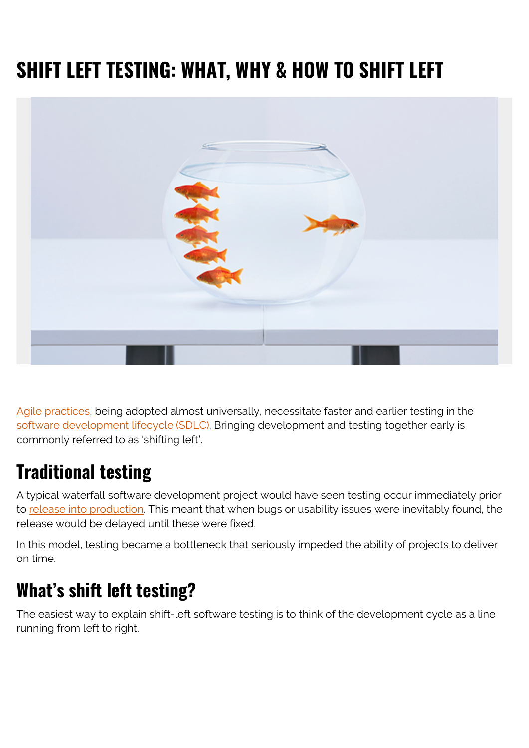# **SHIFT LEFT TESTING: WHAT, WHY & HOW TO SHIFT LEFT**



[Agile practices](https://blogs.bmc.com/blogs/agile-vs-waterfall/), being adopted almost universally, necessitate faster and earlier testing in the [software development lifecycle \(SDLC\).](https://blogs.bmc.com/blogs/sdlc-software-development-lifecycle/) Bringing development and testing together early is commonly referred to as 'shifting left'.

#### **Traditional testing**

A typical waterfall software development project would have seen testing occur immediately prior to [release into production.](https://blogs.bmc.com/blogs/software-deployment-vs-release/) This meant that when bugs or usability issues were inevitably found, the release would be delayed until these were fixed.

In this model, testing became a bottleneck that seriously impeded the ability of projects to deliver on time.

## **What's shift left testing?**

The easiest way to explain shift-left software testing is to think of the development cycle as a line running from left to right.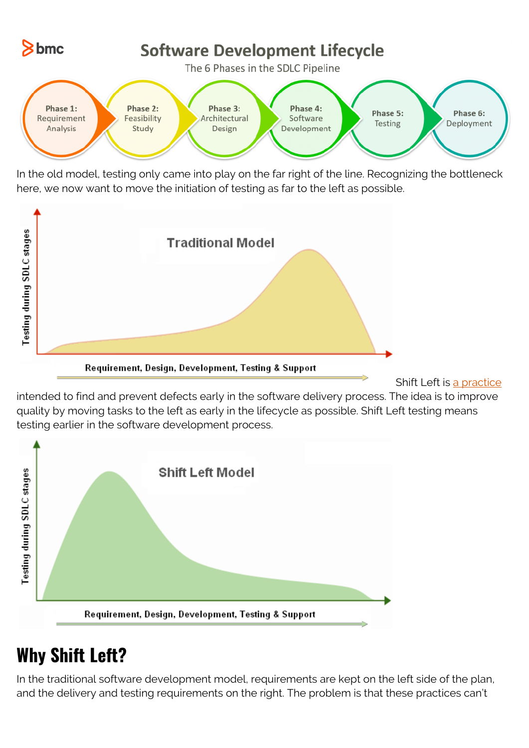

In the old model, testing only came into play on the far right of the line. Recognizing the bottleneck here, we now want to move the initiation of testing as far to the left as possible.



Requirement, Design, Development, Testing & Support

Shift Left is [a practice](https://blogs.bmc.com/blogs/practice-vs-process/)

intended to find and prevent defects early in the software delivery process. The idea is to improve quality by moving tasks to the left as early in the lifecycle as possible. Shift Left testing means testing earlier in the software development process.



## **Why Shift Left?**

In the traditional software development model, requirements are kept on the left side of the plan, and the delivery and testing requirements on the right. The problem is that these practices can't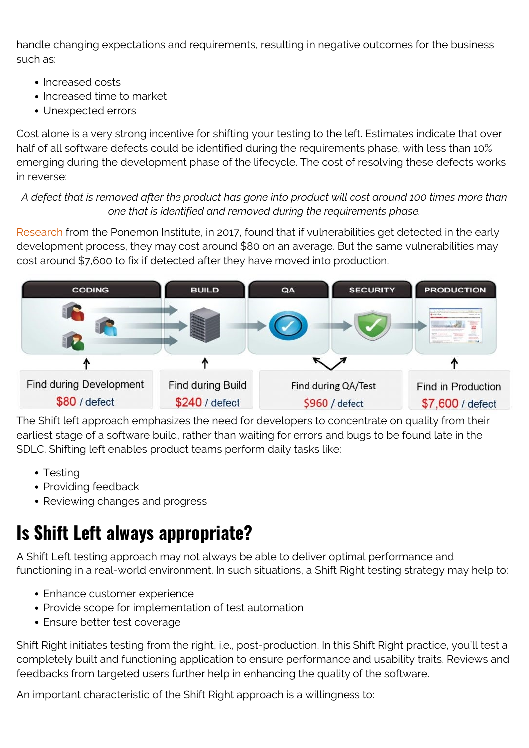handle changing expectations and requirements, resulting in negative outcomes for the business such as:

- Increased costs
- Increased time to market
- Unexpected errors

Cost alone is a very strong incentive for shifting your testing to the left. Estimates indicate that over half of all software defects could be identified during the requirements phase, with less than 10% emerging during the development phase of the lifecycle. The cost of resolving these defects works in reverse:

#### *A defect that is removed after the product has gone into product will cost around 100 times more than one that is identified and removed during the requirements phase.*

[Research](https://www.ibm.com/account/reg/us-en/signup?formid=urx-46992) from the Ponemon Institute, in 2017, found that if vulnerabilities get detected in the early development process, they may cost around \$80 on an average. But the same vulnerabilities may cost around \$7,600 to fix if detected after they have moved into production.



The Shift left approach emphasizes the need for developers to concentrate on quality from their earliest stage of a software build, rather than waiting for errors and bugs to be found late in the SDLC. Shifting left enables product teams perform daily tasks like:

- Testing
- Providing feedback
- Reviewing changes and progress

## **Is Shift Left always appropriate?**

A Shift Left testing approach may not always be able to deliver optimal performance and functioning in a real-world environment. In such situations, a Shift Right testing strategy may help to:

- Enhance customer experience
- Provide scope for implementation of test automation
- Ensure better test coverage

Shift Right initiates testing from the right, i.e., post-production. In this Shift Right practice, you'll test a completely built and functioning application to ensure performance and usability traits. Reviews and feedbacks from targeted users further help in enhancing the quality of the software.

An important characteristic of the Shift Right approach is a willingness to: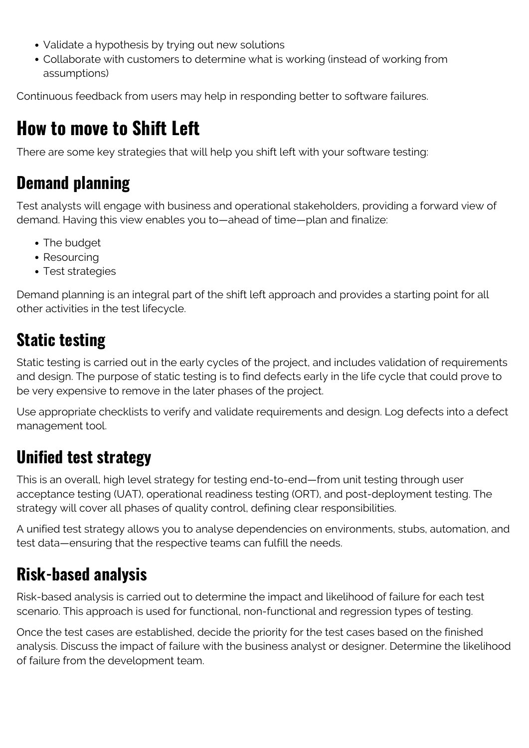- Validate a hypothesis by trying out new solutions
- Collaborate with customers to determine what is working (instead of working from assumptions)

Continuous feedback from users may help in responding better to software failures.

## **How to move to Shift Left**

There are some key strategies that will help you shift left with your software testing:

#### **Demand planning**

Test analysts will engage with business and operational stakeholders, providing a forward view of demand. Having this view enables you to—ahead of time—plan and finalize:

- The budget
- Resourcing
- Test strategies

Demand planning is an integral part of the shift left approach and provides a starting point for all other activities in the test lifecycle.

#### **Static testing**

Static testing is carried out in the early cycles of the project, and includes validation of requirements and design. The purpose of static testing is to find defects early in the life cycle that could prove to be very expensive to remove in the later phases of the project.

Use appropriate checklists to verify and validate requirements and design. Log defects into a defect management tool.

#### **Unified test strategy**

This is an overall, high level strategy for testing end-to-end—from unit testing through user acceptance testing (UAT), operational readiness testing (ORT), and post-deployment testing. The strategy will cover all phases of quality control, defining clear responsibilities.

A unified test strategy allows you to analyse dependencies on environments, stubs, automation, and test data—ensuring that the respective teams can fulfill the needs.

#### **Risk-based analysis**

Risk-based analysis is carried out to determine the impact and likelihood of failure for each test scenario. This approach is used for functional, non-functional and regression types of testing.

Once the test cases are established, decide the priority for the test cases based on the finished analysis. Discuss the impact of failure with the business analyst or designer. Determine the likelihood of failure from the development team.